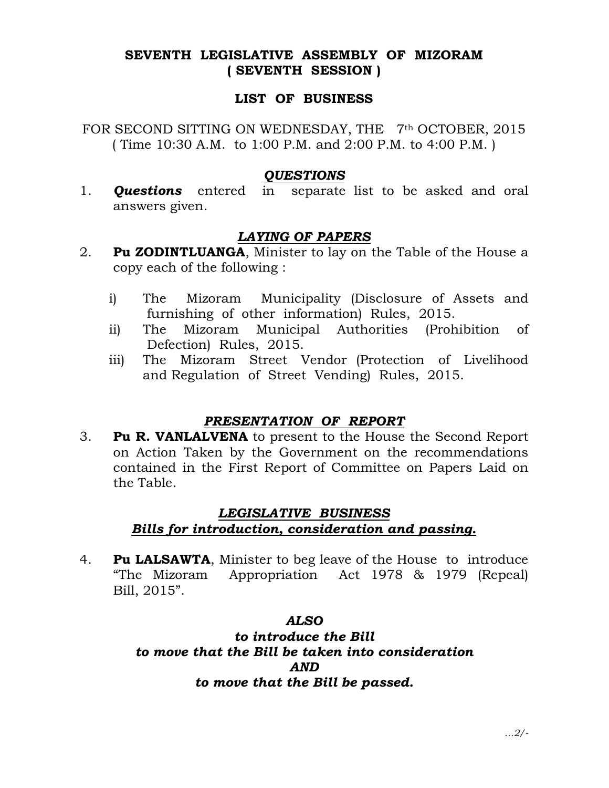## SEVENTH LEGISLATIVE ASSEMBLY OF MIZORAM ( SEVENTH SESSION )

#### LIST OF BUSINESS

FOR SECOND SITTING ON WEDNESDAY, THE 7<sup>th</sup> OCTOBER, 2015 ( Time 10:30 A.M. to 1:00 P.M. and 2:00 P.M. to 4:00 P.M. )

#### **OUESTIONS**

1. **Questions** entered in separate list to be asked and oral answers given.

# LAYING OF PAPERS

- 2. **Pu ZODINTLUANGA,** Minister to lay on the Table of the House a copy each of the following :
	- i) The Mizoram Municipality (Disclosure of Assets and furnishing of other information) Rules, 2015.
	- ii) The Mizoram Municipal Authorities (Prohibition of Defection) Rules, 2015.
	- iii) The Mizoram Street Vendor (Protection of Livelihood and Regulation of Street Vending) Rules, 2015.

## PRESENTATION OF REPORT

3. Pu R. VANLALVENA to present to the House the Second Report on Action Taken by the Government on the recommendations contained in the First Report of Committee on Papers Laid on the Table.

## LEGISLATIVE BUSINESS

# Bills for introduction, consideration and passing.

4. **Pu LALSAWTA,** Minister to beg leave of the House to introduce "The Mizoram Appropriation Act 1978 & 1979 (Repeal) Bill, 2015".

#### ALSO

to introduce the Bill to move that the Bill be taken into consideration AND to move that the Bill be passed.